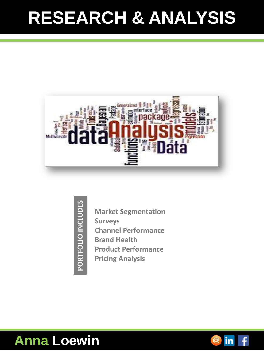### **RESEARCH & ANALYSIS**



- PORTFOLIO INCLUDES **PORTFOLIO INCLUDES**
- **Market Segmentation Surveys Channel Performance Brand Health Product Performance Pricing Analysis**

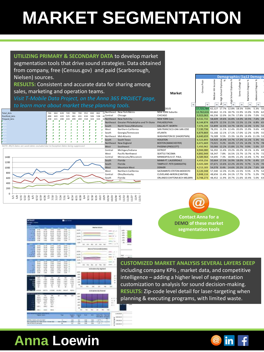# **MARKET SEGMENTATION**

|                                    |                                                                                  |         |  |                                                        |     |                    | UTILIZING PRIMARY & SECONDARY DATA to develop market           |                                                      |           |                                                                                       |    |        |                                         |
|------------------------------------|----------------------------------------------------------------------------------|---------|--|--------------------------------------------------------|-----|--------------------|----------------------------------------------------------------|------------------------------------------------------|-----------|---------------------------------------------------------------------------------------|----|--------|-----------------------------------------|
|                                    |                                                                                  |         |  |                                                        |     |                    | segmentation tools that drive sound strategies. Data obtained  |                                                      |           |                                                                                       |    |        |                                         |
|                                    |                                                                                  |         |  |                                                        |     |                    | from company, free (Census.gov) and paid (Scarborough,         |                                                      |           |                                                                                       |    |        |                                         |
|                                    |                                                                                  |         |  |                                                        |     |                    |                                                                |                                                      |           |                                                                                       |    |        | <b>Demographics (1g12 Demographics)</b> |
|                                    | Nielsen) sources.                                                                |         |  |                                                        |     |                    |                                                                |                                                      |           |                                                                                       |    |        |                                         |
|                                    |                                                                                  |         |  |                                                        |     |                    | <b>RESULTS:</b> Consistent and accurate data for sharing among |                                                      |           |                                                                                       |    |        |                                         |
|                                    | sales, marketing and operation teams.                                            |         |  |                                                        |     |                    |                                                                | <b>Market</b>                                        |           |                                                                                       |    |        |                                         |
|                                    |                                                                                  |         |  |                                                        |     |                    | Visit T-Mobile Data Project, on the Anna 365 PROJECT page,     |                                                      |           |                                                                                       |    |        |                                         |
|                                    | to learn more about market these planning tools.                                 |         |  |                                                        |     |                    |                                                                |                                                      |           | $\sim$<br><b>Sec.</b>                                                                 | w. | $\sim$ |                                         |
|                                    |                                                                                  |         |  |                                                        |     |                    | New York Metro                                                 | <b>GELES</b><br><b>NEW YORK Suburbs</b>              |           | 17.725.784 62.127 17.7% 12.8% 18.5% 9.8%<br>12.762.616 82.662 11.1% 18.7% 15.9% 13.0% |    |        |                                         |
| <b>Total Acts</b><br>PostPaid Acts |                                                                                  | 488 443 |  | 628 749 780 700 952 830 862<br>420 525 481 431 634 506 | 538 | Central            | Chicago                                                        | CHICAGO                                              | 9.923.063 | 66,236 12.0% 16.7% 17.8% 12.0% 7.0%                                                   |    |        |                                         |
| Prepaid_Acts                       |                                                                                  |         |  | 299 269 318 324 324                                    |     |                    | 32 Northeast New York City                                     | <b>NEW YORK Core</b>                                 | 8.532.732 | 58.609 19.6% 16.8% 14.0% 10.5% 7.6% 29                                                |    |        |                                         |
|                                    |                                                                                  |         |  |                                                        |     |                    | Northeast Greater Philadelphia and Tri-State                   | PHILADELPHIA                                         | 8.144.874 | 68,079 12.5% 21.5% 15.5% 11.1% 6.8% 65                                                |    |        |                                         |
|                                    |                                                                                  |         |  |                                                        |     |                    | North Texas/Oklahoma                                           | DALLAS-FT, WORTH                                     | 7.476.194 | 53,899 12.5% 14.7% 18.5% 12.3% 5.5% 52                                                |    |        |                                         |
|                                    |                                                                                  |         |  |                                                        |     |                    | Northern California                                            | SAN FRANCISCO-OAK-SAN JOSE                           |           | 7,130,736 78,291 11.5% 12.4% 20.0% 15.9% 9.6% 43                                      |    |        |                                         |
|                                    |                                                                                  |         |  |                                                        |     |                    | Georgia/Tennessee                                              | ATLANTA                                              |           | 6,879,869 51,166 12.1% 17.1% 17.0% 12.2% 6.0% 5                                       |    |        |                                         |
|                                    |                                                                                  |         |  |                                                        |     | Northeast          | Mid-Atlantic                                                   | WASHINGTON DC (HAGRSTWN)                             | 6.640.659 | 76,589 9.5% 15.3% 16.3% 14.4% 11.3% 5                                                 |    |        |                                         |
|                                    |                                                                                  |         |  |                                                        |     | South<br>Northeast | South Texas<br>New England                                     | <b>HOUSTON</b><br><b>BOSTON (MANCHESTER)</b>         | 6.471.669 | 54.920 14.4% 14.7% 17.2% 11.1% 5.3% 4<br>73.021 9.2% 18.4% 17.1% 14.3% 9.7%           |    |        |                                         |
|                                    | NOTE: #N/A Dates are week dates excluded due to Exception Dates beina suppressed |         |  |                                                        |     | West               | Southwest                                                      | PHOENIX (PRESCOTT)                                   | 5.450.962 | 50.066 12.2% 15.8% 21.7% 9.9% 5.0% 57                                                 |    |        |                                         |
|                                    |                                                                                  |         |  |                                                        |     | Centra             | Michigan/Indiana                                               | DETROIT                                              | 4.944.080 | 56.392 11.4% 19.2% 20.2% 10.1% 6.3% 69                                                |    |        |                                         |
|                                    |                                                                                  |         |  |                                                        |     | West               | Pacific Northwest                                              | SEATTLE-TACOMA                                       | 4.892.949 | 58.347 7.8% 16.5% 23.7% 13.7% 6.7% 72                                                 |    |        |                                         |
| 1400                               |                                                                                  |         |  |                                                        |     | Centra             | Minnesota/Wisconsin                                            | MINNEAPOLIS-ST. PAUL                                 | 4.589.964 | 54,695 7.3% 18.9% 21.2% 13.4% 5.7% 8                                                  |    |        |                                         |
| 1200                               |                                                                                  |         |  |                                                        |     | South              | Florida                                                        | MIAMI-FT, LAUDERDALE                                 | 4.459.256 | 50.664 17.5% 16.9% 18.0% 9.7% 6.4% 27                                                 |    |        |                                         |
|                                    |                                                                                  |         |  |                                                        |     | South              | Florida                                                        | TAMPA-ST. PETE (SARASOTA)                            | 4.425.589 | 47,671 13.6% 22.2% 20.5% 9.7% 5.1% 7                                                  |    |        |                                         |
| 1000                               |                                                                                  |         |  |                                                        |     | West               | <b>Mountain West</b>                                           | <b>DENVER</b>                                        | 4.213.183 | 54.078 8.4% 14.6% 20.2% 15.2% 7.6% 6                                                  |    |        |                                         |
| 800                                |                                                                                  |         |  |                                                        |     | West<br>Centra     | Northern California<br>Ohio/Kentucky                           | SACRAMNTO-STKTON-MODESTO<br>CLEVELAND-AKRON (CANTON) |           | 4,120,348 57,340 12.3% 15.3% 22.5% 9.5%<br>3,848,116 48,656 11.4% 24.1% 17.7% 9.7%    |    |        |                                         |
| 600                                |                                                                                  |         |  |                                                        |     | South              | Florida                                                        | ORLANDO-DAYTONA BCH-MELBRN                           |           | 3,748,273 48,452 11.9% 20.7% 21.6% 10.4% 5.0%                                         |    |        |                                         |
| 400                                |                                                                                  |         |  |                                                        |     |                    |                                                                |                                                      |           |                                                                                       |    |        |                                         |
| 200                                |                                                                                  |         |  |                                                        |     |                    |                                                                |                                                      |           |                                                                                       |    |        |                                         |

0 5/1 5/8 5/15 5/22 5/29 6/5 6/12 6/19 6/26 7/3 7/10 7/17 7/24 7/31 8/7 8/14 8/21 8/28 9/4 9/11 9/18 9/25 10/2 10/9 10/16 10/23 10/30 11/6 11/13 11/20 11/27 12/4 12/11



**Contact Anna for a DEMO of these market segmentation tools**

**CUSTOMIZED MARKET ANALYSIS SEVERAL LAYERS DEEP** 

including company KPIs , market data, and competitive intelligence – adding a higher level of segmentation customization to analysis for sound decision-making. **RESULTS:** Zip-code level detail for laser-targeting when planning & executing programs, with limited waste.



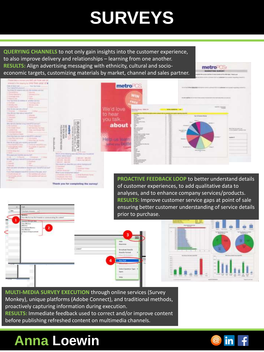## **SURVEYS**

**QUERYING CHANNELS** to not only gain insights into the customer experience, to also improve delivery and relationships – learning from one another. **RESULTS:** Align advertising messaging with ethnicity, cultural and socioeconomic targets, customizing materials by market, channel and sales partner.

metro<sup>2</sup>CS



**PROACTIVE FEEDBACK LOOP** to better understand details of customer experiences, to add qualitative data to analyses, and to enhance company services/products. **RESULTS:** Improve customer service gaps at point of sale ensuring better customer understanding of service details prior to purchase.



you for completing the survey!



**MULTI-MEDIA SURVEY EXECUTION** through online services (Survey Monkey), unique platforms (Adobe Connect), and traditional methods, proactively capturing information during execution.

**RESULTS:** Immediate feedback used to correct and/or improve content before publishing refreshed content on multimedia channels.

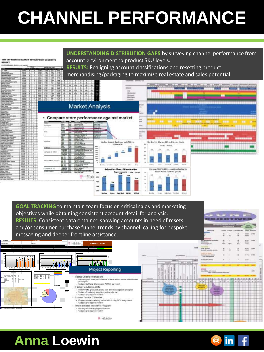# **CHANNEL PERFORMANCE**



**GOAL TRACKING** to maintain team focus on critical sales and marketing objectives while obtaining consistent account detail for analysis. **RESULTS:** Consistent data obtained showing accounts in need of resets and/or consumer purchase funnel trends by channel, calling for bespoke messaging and deeper frontline assistance.



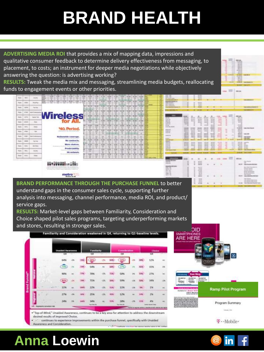## **BRAND HEALTH**

**ADVERTISING MEDIA ROI** that provides a mix of mapping data, impressions and qualitative consumer feedback to determine delivery effectiveness from messaging, to placement, to costs; an instrument for deeper media negotiations while objectively answering the question: is advertising working?

**RESULTS:** Tweak the media mix and messaging, streamlining media budgets, reallocating funds to engagement events or other priorities.

| <b>Rose</b>   | - Mich.       | Clubble.               | 1,198                                                                                                                                                            |             |  |  |    |  |                            |   | --<br>$-0.5$<br><b>Service Control</b>                                                                            |                                     |                   | <b>SCHOOL</b><br>22                              |                         |                                |                       |   |                                                                   |                                                                                                                                 |
|---------------|---------------|------------------------|------------------------------------------------------------------------------------------------------------------------------------------------------------------|-------------|--|--|----|--|----------------------------|---|-------------------------------------------------------------------------------------------------------------------|-------------------------------------|-------------------|--------------------------------------------------|-------------------------|--------------------------------|-----------------------|---|-------------------------------------------------------------------|---------------------------------------------------------------------------------------------------------------------------------|
| <b>Bake</b>   | $rac{1}{2}$   | <b>BookFlat</b>        |                                                                                                                                                                  |             |  |  |    |  |                            |   | <b><i><u>Senior Controller State Controller</u></i></b><br><b>Marchet Human Co</b><br>---<br><b>CO-Television</b> |                                     |                   | -<br>39.95                                       |                         |                                |                       |   |                                                                   |                                                                                                                                 |
| <b>Sales</b>  | <b>AMM</b>    | <b>TAXABLE</b>         |                                                                                                                                                                  |             |  |  |    |  |                            |   | -                                                                                                                 |                                     |                   |                                                  |                         |                                |                       |   |                                                                   |                                                                                                                                 |
| <b>Bagg</b>   | o caso        | <b><i>BARTHERS</i></b> |                                                                                                                                                                  |             |  |  |    |  |                            |   |                                                                                                                   |                                     |                   | --                                               |                         |                                |                       |   |                                                                   |                                                                                                                                 |
| <b>Total</b>  | and in        | <b>SUPER</b>           | <b>Wireless</b>                                                                                                                                                  |             |  |  |    |  |                            |   | -<br>$-0.001$                                                                                                     | <br>$-0.001$                        |                   |                                                  |                         |                                |                       |   | <b>DELLA</b><br><b>WELL</b><br><b>SPEED</b>                       |                                                                                                                                 |
| field.        | <b>SERVE</b>  | <b>Hart</b>            | for<br>AII.                                                                                                                                                      |             |  |  |    |  |                            |   | --<br>-<br>$-0.00000$                                                                                             | <br><br><b>William</b>              | <b>Barrietta</b>  | -<br>-                                           | $3 - 40$<br><b>SOME</b> | <b>SEAR</b><br><b>Service</b>  | -<br>$-$              |   | <b>APRIL 24</b><br><b>ALC AN</b>                                  |                                                                                                                                 |
| <b>South</b>  | staff         | <b>GRAND</b>           | <b>MO. Period.</b>                                                                                                                                               | $AC - B.01$ |  |  |    |  |                            |   | <b>House</b><br><b><i>CALCULATED</i></b><br><b>HELL</b>                                                           | ٠<br>-<br>-                         |                   | <b>ALCOHOL:</b>                                  | <b>SCHOOL</b>           | --<br><b>MARK</b>              | <b>SALES</b><br>--    |   | <b>DOM</b><br><b>ALCOHOL</b><br><b>Business Control</b><br>312.15 | <b><i>CARL GALLERIER</i></b>                                                                                                    |
| Sale          | <b>SPEC</b>   | 14                     | admitted and trust that businessment                                                                                                                             |             |  |  |    |  |                            | − | <b>ASSESSED</b><br><b>SALES</b>                                                                                   | -<br><b>Highland</b><br><b>HELL</b> | -<br>--<br>--     | -                                                | <b>START</b>            | --<br><b>STORY</b>             | -                     |   | --<br><b>Window</b><br>all states                                 | <b>CALL AND</b>                                                                                                                 |
| Total C       | <b>SOME</b>   | <b>AACOHOMEN</b>       | Matinevalule coverage.<br><b>CONSULTANCE CAR PRODUCTION</b>                                                                                                      |             |  |  |    |  |                            |   | <b>STATISTICS</b><br>۰                                                                                            | --<br>$-0.001$<br>--                |                   | <b>COLOR</b>                                     | <br>--                  | <b>British</b><br><b>Widow</b> | \$1.50<br><b>SILE</b> | ۰ | <b>DECAY</b><br><b>GALLAS</b>                                     | THE GREAT<br><b>John Dies</b>                                                                                                   |
| <b>Railey</b> | <b>Linked</b> | <b>Page Hotel</b>      | Na contracta.<br>dealer and the company of                                                                                                                       |             |  |  |    |  |                            |   | <b>State State</b><br><b>September</b><br>$- -$<br><b>Listens</b>                                                 | <b>LINE ARE</b><br>-<br>$-1.4$      |                   |                                                  |                         |                                |                       |   | <b><i>STATISTICS</i></b>                                          | <b>STAND COLLECTIVE</b><br>雌式                                                                                                   |
| <b>Ratio</b>  | <b>HARD</b>   | stra Auck              | <b>More</b> chadros.<br>Predictionity.                                                                                                                           |             |  |  |    |  |                            |   | --<br>                                                                                                            | <b>SILE</b><br>                     | <b>STATISTICS</b> |                                                  |                         | server.<br><b>SCALE</b><br>-   | -                     |   |                                                                   | ALC: UNK<br>---                                                                                                                 |
| Tues          | $-0.01$       | Dom't                  | linguage events of the month.<br>3G network.                                                                                                                     |             |  |  |    |  |                            |   |                                                                                                                   |                                     |                   |                                                  |                         |                                |                       |   | <b>MAINTEN</b>                                                    | Tele-Alexander<br><b>CALL SALES</b>                                                                                             |
| Total         | CASE.         | <b>Side</b>            |                                                                                                                                                                  |             |  |  | 45 |  | <b>WE was a most first</b> |   |                                                                                                                   |                                     |                   |                                                  |                         |                                |                       |   | <b>Million</b>                                                    |                                                                                                                                 |
|               |               |                        | 00 x 00 0 0 0 0 m 0 0 0 u                                                                                                                                        |             |  |  |    |  |                            |   | <b>County of Links</b><br>$-$                                                                                     |                                     |                   | <b>STAR</b><br>-                                 |                         |                                |                       |   | was.                                                              | <b>STATISTICS</b><br><b>CARL DE MORAL DE LASS</b>                                                                               |
|               |               |                        | the Pictures of the Pictures of Construction and<br>And the following company of the property of the property and the property of the company of the property of |             |  |  |    |  |                            |   | <b>SAMPLES DR. DVR.</b><br>--<br>--                                                                               |                                     |                   | <b>Wind</b><br>19.11.00                          |                         |                                |                       |   |                                                                   | Well rided Chief collection<br><b>Distances</b> Manager<br><b><i><u>Instrument</u></i></b>                                      |
|               |               |                        | metro                                                                                                                                                            |             |  |  |    |  |                            |   | <b>SOFT</b><br>since in<br>444.44                                                                                 |                                     |                   | $\sim$<br><b>Security</b><br>-<br><b>Service</b> |                         |                                |                       |   | mon.                                                              | <b><i><u><i><u><b>DOGS ASSESSED</b></u></i></u></i></b><br><b>Brond Photo Act</b><br><b>Date Grande</b><br>Total American McNat |

**BRAND PERFORMANCE THROUGH THE PURCHASE FUNNEL** to better understand gaps in the consumer sales cycle, supporting further analysis into messaging, channel performance, media ROI, and product/ service gaps.

**RESULTS:** Market-level gaps between Familiarity, Consideration and Choice shaped pilot sales programs, targeting underperforming markets and stores, resulting in stronger sales.



- . "Top-of-Mind," Unaided Awareness, continues to be a key area for attention to address the downstream desired results of improved Choice.
- -' continues to experience improvements within the purchase funnel, specifically with Unaided wareness and Consideration.



珊

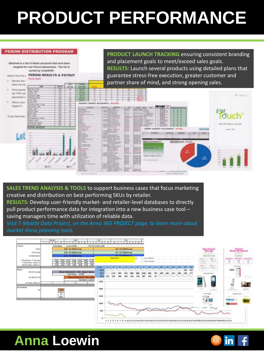# **PRODUCT PERFORMANCE**





**SALES TREND ANALYSIS & TOOLS** to support business cases that focus marketing creative and distribution on best performing SKUs by retailer. **RESULTS:** Develop user-friendly market- and retailer-level databases to directly pull product performance data for integration into a new business case tool – saving managers time with utilization of reliable data.

*Visit T-Mobile Data Project, on the Anna 365 PROJECT page, to learn more about market these planning tools.*



in